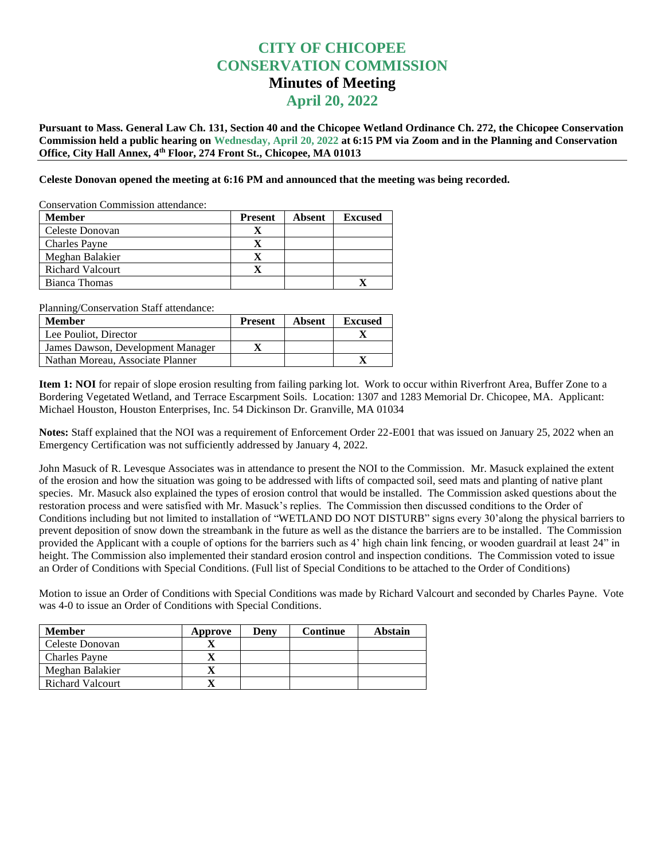## **CITY OF CHICOPEE CONSERVATION COMMISSION Minutes of Meeting April 20, 2022**

**Pursuant to Mass. General Law Ch. 131, Section 40 and the Chicopee Wetland Ordinance Ch. 272, the Chicopee Conservation Commission held a public hearing on Wednesday, April 20, 2022 at 6:15 PM via Zoom and in the Planning and Conservation Office, City Hall Annex, 4th Floor, 274 Front St., Chicopee, MA 01013**

**Celeste Donovan opened the meeting at 6:16 PM and announced that the meeting was being recorded.** 

Conservation Commission attendance:

| <b>Member</b>           | <b>Present</b> | <b>Absent</b> | <b>Excused</b> |
|-------------------------|----------------|---------------|----------------|
| Celeste Donovan         |                |               |                |
| <b>Charles Payne</b>    |                |               |                |
| Meghan Balakier         |                |               |                |
| <b>Richard Valcourt</b> |                |               |                |
| Bianca Thomas           |                |               |                |

Planning/Conservation Staff attendance:

| <b>Member</b>                     | <b>Present</b> | A bsent | <b>Excused</b> |
|-----------------------------------|----------------|---------|----------------|
| Lee Pouliot. Director             |                |         |                |
| James Dawson, Development Manager |                |         |                |
| Nathan Moreau, Associate Planner  |                |         |                |

**Item 1: NOI** for repair of slope erosion resulting from failing parking lot. Work to occur within Riverfront Area, Buffer Zone to a Bordering Vegetated Wetland, and Terrace Escarpment Soils. Location: 1307 and 1283 Memorial Dr. Chicopee, MA. Applicant: Michael Houston, Houston Enterprises, Inc. 54 Dickinson Dr. Granville, MA 01034

**Notes:** Staff explained that the NOI was a requirement of Enforcement Order 22-E001 that was issued on January 25, 2022 when an Emergency Certification was not sufficiently addressed by January 4, 2022.

John Masuck of R. Levesque Associates was in attendance to present the NOI to the Commission. Mr. Masuck explained the extent of the erosion and how the situation was going to be addressed with lifts of compacted soil, seed mats and planting of native plant species. Mr. Masuck also explained the types of erosion control that would be installed. The Commission asked questions about the restoration process and were satisfied with Mr. Masuck's replies. The Commission then discussed conditions to the Order of Conditions including but not limited to installation of "WETLAND DO NOT DISTURB" signs every 30'along the physical barriers to prevent deposition of snow down the streambank in the future as well as the distance the barriers are to be installed. The Commission provided the Applicant with a couple of options for the barriers such as 4' high chain link fencing, or wooden guardrail at least 24" in height. The Commission also implemented their standard erosion control and inspection conditions. The Commission voted to issue an Order of Conditions with Special Conditions. (Full list of Special Conditions to be attached to the Order of Conditions)

Motion to issue an Order of Conditions with Special Conditions was made by Richard Valcourt and seconded by Charles Payne. Vote was 4-0 to issue an Order of Conditions with Special Conditions.

| <b>Member</b>        | Approve | Denv | <b>Continue</b> | <b>Abstain</b> |
|----------------------|---------|------|-----------------|----------------|
| Celeste Donovan      |         |      |                 |                |
| <b>Charles Payne</b> |         |      |                 |                |
| Meghan Balakier      |         |      |                 |                |
| Richard Valcourt     |         |      |                 |                |